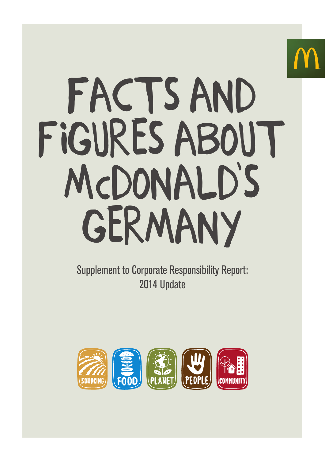# FACTS AND FIGURES ABOUT McDonAld's GERMANY

Supplement to Corporate Responsibility Report: 2014 Update

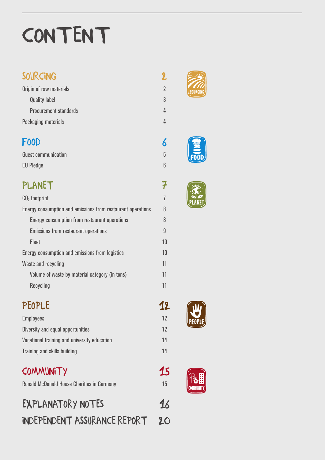# CONTENT

## SOURCING

| Origin of raw materials      |
|------------------------------|
| <b>Quality label</b>         |
| <b>Procurement standards</b> |
| Packaging materials          |

# FOOD

Guest communication EU Pledge

# **PLANET**

| $CO2$ footprint                                             |
|-------------------------------------------------------------|
| Energy consumption and emissions from restaurant operations |
| Energy consumption from restaurant operations               |
| <b>Emissions from restaurant operations</b>                 |
| <b>Fleet</b>                                                |
| Energy consumption and emissions from logistics             |
| Waste and recycling                                         |
| Volume of waste by material category (in tons)              |
| Recycling                                                   |

# PEOPLE

| <b>Employees</b>                             |
|----------------------------------------------|
| Diversity and equal opportunities            |
| Vocational training and university education |
| Training and skills building                 |

# **COMMUNITY**

Ronald McDonald House Charities in Germany

| <b>EXPLANATORY NOTES</b>            | 16 |
|-------------------------------------|----|
| <b>INDEPENDENT ASSURANCE REPORT</b> | 20 |



2

2 3

4

4

6

6 6

7

7

8

8 9

10 10 11

11

11

12

12 12 14

14

15

15







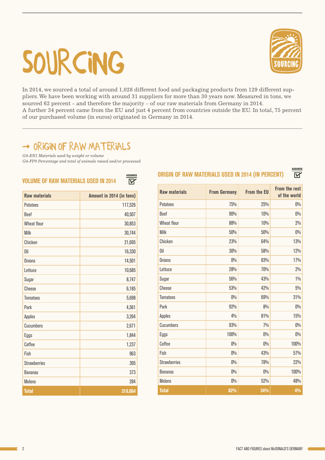# SOURCING



In 2014, we sourced a total of around 1,028 different food and packaging products from 129 different suppliers. We have been working with around 31 suppliers for more than 30 years now. Measured in tons, we sourced 62 percent – and therefore the majority – of our raw materials from Germany in 2014. A further 34 percent came from the EU and just 4 percent from countries outside the EU. In total, 75 percent of our purchased volume (in euros) originated in Germany in 2014.

ASSURED

## $\rightarrow$  ORIGIN OF RAW MATERIALS

*G4-EN1 Materials used by weight or volume*

*G4-FP9 Percentage and total of animals raised and/or processed*

| VOLUME OF RAW MATERIALS USED IN 2014 | ΙVΓ                      |
|--------------------------------------|--------------------------|
| <b>Raw materials</b>                 | Amount in 2014 (in tons) |
| <b>Potatoes</b>                      | 117,526                  |
| Beef                                 | 40,507                   |
| <b>Wheat flour</b>                   | 30,853                   |
| <b>Milk</b>                          | 30,744                   |
| Chicken                              | 21,695                   |
| 0il                                  | 16,330                   |
| <b>Onions</b>                        | 14,501                   |
| Lettuce                              | 10,685                   |
| Sugar                                | 8,747                    |
| Cheese                               | 6,185                    |
| <b>Tomatoes</b>                      | 5,698                    |
| Pork                                 | 4,561                    |
| <b>Apples</b>                        | 3,264                    |
| Cucumbers                            | 2,671                    |
| Eggs                                 | 1,844                    |
| Coffee                               | 1,237                    |
| Fish                                 | 963                      |
| <b>Strawberries</b>                  | 395                      |
| <b>Bananas</b>                       | 373                      |
| <b>Melons</b>                        | 284                      |
| <b>Total</b>                         | 319,064                  |

## ORIGIN OF RAW MATERIALS USED IN 2014 (IN PERCENT)

| <b>Raw materials</b> | <b>From Germany</b> | <b>From the EU</b> | <b>From the rest</b><br>of the world |
|----------------------|---------------------|--------------------|--------------------------------------|
| <b>Potatoes</b>      | 75%                 | 25%                | $0\%$                                |
| Beef                 | 90%                 | 10%                | $0\%$                                |
| <b>Wheat flour</b>   | 88%                 | 10%                | $2\%$                                |
| <b>Milk</b>          | 50%                 | 50%                | $0\%$                                |
| Chicken              | 23%                 | 64%                | 13%                                  |
| Oil                  | 30%                 | 58%                | 12%                                  |
| <b>Onions</b>        | $0\%$               | 83%                | 17%                                  |
| Lettuce              | 28%                 | 70%                | $2\%$                                |
| Sugar                | 56%                 | 43%                | $1\%$                                |
| Cheese               | 53%                 | 42%                | 5%                                   |
| <b>Tomatoes</b>      | $0\%$               | 69%                | 31%                                  |
| Pork                 | 92%                 | 8%                 | $0\%$                                |
| <b>Apples</b>        | 4%                  | 81%                | 15%                                  |
| <b>Cucumbers</b>     | 93%                 | 7%                 | $0\%$                                |
| Eggs                 | 100%                | $0\%$              | $0\%$                                |
| Coffee               | $0\%$               | $0\%$              | 100%                                 |
| Fish                 | $0\%$               | 43%                | 57%                                  |
| <b>Strawberries</b>  | $0\%$               | 78%                | 22%                                  |
| <b>Bananas</b>       | $0\%$               | $0\%$              | 100%                                 |
| <b>Melons</b>        | $0\%$               | 52%                | 48%                                  |
| <b>Total</b>         | 62%                 | 34%                | 4%                                   |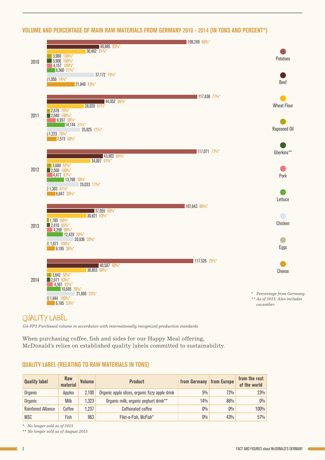### VOLUME AND PERCENTAGE OF MAIN RAW MATERIALS FROM GERMANY 2010 - 2014 (IN TONS AND PERCENT\*)



## QUALITY LABEL

*G4-FP2 Purchased volume in accordance with internationally recognized production standards*

When purchasing coffee, fish and sides for our Happy Meal offering, McDonald's relies on established quality labels committed to sustainability.

### QUALITY LABEL (RELATING TO RAW MATERIALS IN TONS)

| <b>Quality label</b>       | <b>Raw</b><br>material | <b>Volume</b> | <b>Product</b>                                  | from Germany | <b>from Europe</b> | from the rest<br>of the world |
|----------------------------|------------------------|---------------|-------------------------------------------------|--------------|--------------------|-------------------------------|
| Organic                    | Apples                 | 2.100         | Organic apple slices, organic fizzy apple drink | $5\%$        | 72%                | 23%                           |
| Organic                    | Milk                   | 1,323         | Organic milk, organic yoghurt drink**           | $14\%$       | 86%                | 0%                            |
| <b>Rainforest Alliance</b> | Coffee                 | 1,237         | Caffeinated coffee                              | $0\%$        | $0\%$              | 100%                          |
| MSC                        | Fish                   | 963           | Filet-o-Fish, McFish*                           | $0\%$        | 43%                | 57%                           |

*\* No longer sold as of 2015*

*\*\* No longer sold as of August 2015*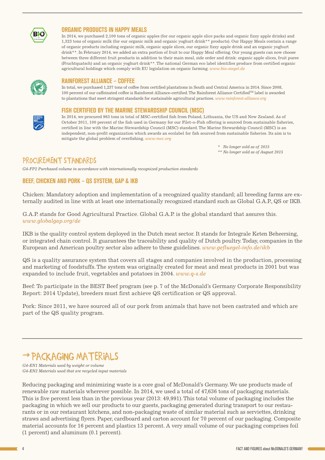

#### ORGANIC PRODUCTS IN HAPPY MEALS

In 2014, we purchased 2,100 tons of organic apples (for our organic apple slice packs and organic fizzy apple drinks) and 1,323 tons of organic milk (for our organic milk and organic yoghurt drink\*\* products). Our Happy Meals contain a range of organic products including organic milk, organic apple slices, our organic fizzy apple drink and an organic yoghurt drink\*\*. In February 2014, we added an extra portion of fruit to our Happy Meal offering. Our young guests can now choose between three different fruit products in addition to their main meal, side order and drink: organic apple slices, fruit puree (Fruchtquatsch) and an organic yoghurt drink\*\*. The national German eco label identifies produce from certified organic agricultural holdings which comply with EU legislation on organic farming. *[www.bio-siegel.de](http://www.bio-siegel.de)*



## RAINFOREST ALLIANCE – COFFEE

In total, we purchased 1,237 tons of coffee from certified plantations in South and Central America in 2014. Since 2008, 100 percent of our caffeinated coffee is Rainforest Alliance-certified. The Rainforest Alliance CertifiedTM label is awarded to plantations that meet stringent standards for sustainable agricultural practices. *[www.rainforest-alliance.org](http://www.rainforest-alliance.org)*

#### FISH CERTIFIED BY THE MARINE STEWARDSHIP COUNCIL (MSC)

In 2014, we procured 963 tons in total of MSC-certified fish from Poland, Lithuania, the US and New Zealand. As of October 2011, 100 percent of the fish used in Germany for our Filet-o-Fish offering is sourced from sustainable fisheries, certified in line with the Marine Stewardship Council (MSC) standard. The Marine Stewardship Council (MSC) is an independent, non-profit organization which awards an ecolabel for fish sourced from sustainable fisheries. Its aim is to mitigate the global problem of overfishing. *[www.msc.org](http://www.msc.org)*

> *\* No longer sold as of 2015 \*\* No longer sold as of August 2015*

## PROCUREMENT STANDARDS

*G4-FP2 Purchased volume in accordance with internationally recognized production standards*

## BEEF, CHICKEN AND PORK – QS SYSTEM, GAP & IKB

Chicken: Mandatory adoption and implementation of a recognized quality standard; all breeding farms are externally audited in line with at least one internationally recognized standard such as Global G.A.P., QS or IKB.

G.A.P. stands for Good Agricultural Practice. Global G.A.P. is the global standard that assures this. *[www.globalgap.org/de](http://www.globalgap.org/de/)*

IKB is the quality control system deployed in the Dutch meat sector. It stands for Integrale Keten Beheersing, or integrated chain control. It guarantees the traceability and quality of Dutch poultry. Today, companies in the European and American poultry sector also adhere to these guidelines. *[www.gefluegel-info.de/ikb](http://www.gefluegel-info.de/ikb/)*

QS is a quality assurance system that covers all stages and companies involved in the production, processing and marketing of foodstuffs. The system was originally created for meat and meat products in 2001 but was expanded to include fruit, vegetables and potatoes in 2004. *[www.q-s.de](http://www.q-s.de)*

Beef: To participate in the BEST Beef program (see p. 7 of the McDonald's Germany Corporate Responsibility Report: 2014 Update), breeders must first achieve QS certification or QS approval.

Pork: Since 2011, we have sourced all of our pork from animals that have not been castrated and which are part of the QS quality program.

## PACKAGING MATERIALS

*G4-EN1 Materials used by weight or volume G4-EN2 Materials used that are recycled input materials*

Reducing packaging and minimizing waste is a core goal of McDonald's Germany. We use products made of renewable raw materials wherever possible. In 2014, we used a total of 47,636 tons of packaging materials. This is five percent less than in the previous year (2013: 49,991). This total volume of packaging includes the packaging in which we sell our products to our guests, packaging generated during transport to our restaurants or in our restaurant kitchens, and non-packaging waste of similar material such as serviettes, drinking straws and advertising flyers. Paper, cardboard and carton account for 70 percent of our packaging. Composite material accounts for 16 percent and plastics 13 percent. A very small volume of our packaging comprises foil (1 percent) and aluminum (0.1 percent).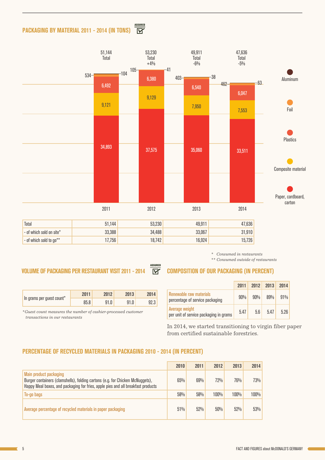#### ASSURED<br>M PACKAGING BY MATERIAL 2011 - 2014 (IN TONS)



| Total                      | 51.144 | 53.230 | 49.911 | 47.636 |
|----------------------------|--------|--------|--------|--------|
| $-$ of which sold on site* | 33,388 | 34,488 | 33,067 | 31.910 |
| $-$ of which sold to go**  | .1,756 | 8.742  | 16,924 | 15,726 |

ASSURED

#### *\* Consumed in restaurants*

*\*\* Consumed outside of restaurants*

## VOLUME OF PACKAGING PER RESTAURANT VISIT 2011 - 2014  $\overline{W}$  composition of our packaging (in percent)

| In grams per guest count* | 2011 | 2012 | 2013 | 2014 |
|---------------------------|------|------|------|------|
|                           | 85.8 | 91.O | 91.0 | 92.3 |

*\*Guest count measures the number of cashier-processed customer transactions in our restaurants*

## 2011 2012 2013 2014

|                                                            | ZUILL |     | ZUIZ ZUIJ ZUI4 |      |
|------------------------------------------------------------|-------|-----|----------------|------|
| Renewable raw materials<br>percentage of service packaging | 90%   | 90% | 89%            | 91%  |
| Average weight<br>per unit of service packaging in grams   | 5.47  | 5.6 | 5.47           | 5.26 |

In 2014, we started transitioning to virgin fiber paper from certified sustainable forestries.

### PERCENTAGE OF RECYCLED MATERIALS IN PACKAGING 2010 - 2014 (IN PERCENT)

|                                                                                                                                                                                             | 2010 | 2011 | 2012 | 2013 | 2014           |
|---------------------------------------------------------------------------------------------------------------------------------------------------------------------------------------------|------|------|------|------|----------------|
| Main product packaging<br>Burger containers (clamshells), folding cartons (e.g. for Chicken McNuggets),<br>Happy Meal boxes, and packaging for fries, apple pies and all breakfast products | 65%  | 69%  | 72%  | 76%  | 73%            |
| To-go bags                                                                                                                                                                                  | 58%  | 58%  | 100% | 100% | $100\%$ $\mid$ |
| Average percentage of recycled materials in paper packaging                                                                                                                                 | 51%  | 52%  | 50%  | 52%  | 53%            |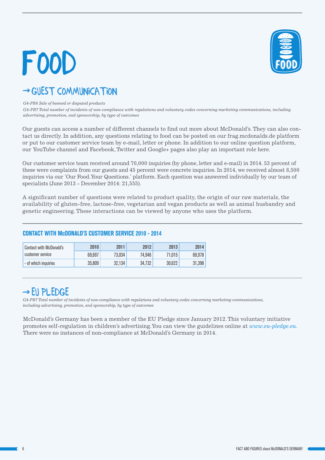# FOOD



## → GUEST COMMUNICATION

#### *G4-PR6 Sale of banned or disputed products*

*G4-PR7 Total number of incidents of non-compliance with regulations and voluntary codes concerning marketing communications, including advertising, promotion, and sponsorship, by type of outcomes*

Our guests can access a number of different channels to find out more about McDonald's. They can also contact us directly. In addition, any questions relating to food can be posted on our frag.mcdonalds.de platform or put to our customer service team by e-mail, letter or phone. In addition to our online question platform, our YouTube channel and Facebook, Twitter and Google+ pages also play an important role here.

Our customer service team received around 70,000 inquiries (by phone, letter and e-mail) in 2014. 53 percent of these were complaints from our guests and 45 percent were concrete inquiries. In 2014, we received almost 8,500 inquiries via our 'Our Food. Your Questions.' platform. Each question was answered individually by our team of specialists (June 2013 - December 2014: 21,555).

A significant number of questions were related to product quality, the origin of our raw materials, the availability of gluten-free, lactose-free, vegetarian and vegan products as well as animal husbandry and genetic engineering. These interactions can be viewed by anyone who uses the platform.

#### Contact with McDonald's customer service 2010 2011 2012 2013 2014 69,697 73,034 74,946 71,015 69,978 - of which inquiries 35,809 32,134 34,732 30,622 31,398

### CONTACT WITH McDONALD'S CUSTOMER SERVICE 2010 - 2014

## $\rightarrow$  EU PLEDGE

*G4-PR7 Total number of incidents of non-compliance with regulations and voluntary codes concerning marketing communications, including advertising, promotion, and sponsorship, by type of outcomes*

McDonald's Germany has been a member of the EU Pledge since January 2012. This voluntary initiative promotes self-regulation in children's advertising. You can view the guidelines online at *[www.eu-pledge.eu.](http://www.eu-pledge.eu)*  There were no instances of non-compliance at McDonald's Germany in 2014.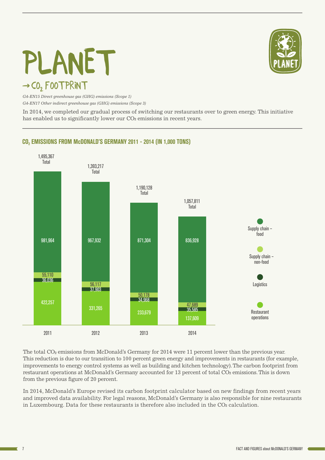# $\rightarrow$  CO<sub>2</sub> FOOTPRINT PLANET



*G4-EN15 Direct greenhouse gas (GHG) emissions (Scope 1) G4-EN17 Other indirect greenhouse gas (GHG) emissions (Scope 3)*

In 2014, we completed our gradual process of switching our restaurants over to green energy. This initiative has enabled us to significantly lower our CO<sub>2</sub> emissions in recent years.

## CO<sub>2</sub> EMISSIONS FROM McDONALD'S GERMANY 2011 - 2014 (IN 1,000 TONS)



The total CO<sub>2</sub> emissions from McDonald's Germany for 2014 were 11 percent lower than the previous year. This reduction is due to our transition to 100 percent green energy and improvements in restaurants (for example, improvements to energy control systems as well as building and kitchen technology). The carbon footprint from restaurant operations at McDonald's Germany accounted for 13 percent of total CO<sub>2</sub> emissions. This is down from the previous figure of 20 percent.

In 2014, McDonald's Europe revised its carbon footprint calculator based on new findings from recent years and improved data availability. For legal reasons, McDonald's Germany is also responsible for nine restaurants in Luxembourg. Data for these restaurants is therefore also included in the  $CO<sub>2</sub>$  calculation.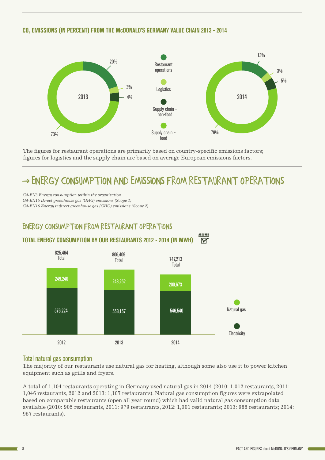### CO2 EMISSIONS (IN PERCENT) FROM THE McDONALD'S GERMANY VALUE CHAIN 2013 - 2014



The figures for restaurant operations are primarily based on country-specific emissions factors; figures for logistics and the supply chain are based on average European emissions factors.

# ENERGY CONSUMPTION AND EMISSIONS FROM RESTAURANT OPERAtions

*G4-EN3 Energy consumption within the organization*

*G4-EN15 Direct greenhouse gas (GHG) emissions (Scope 1)*

*G4-EN16 Energy indirect greenhouse gas (GHG) emissions (Scope 2)*



### Total natural gas consumption

The majority of our restaurants use natural gas for heating, although some also use it to power kitchen equipment such as grills and fryers.

A total of 1,104 restaurants operating in Germany used natural gas in 2014 (2010: 1,012 restaurants, 2011: 1,046 restaurants, 2012 and 2013: 1,107 restaurants). Natural gas consumption figures were extrapolated based on comparable restaurants (open all year round) which had valid natural gas consumption data available (2010: 905 restaurants, 2011: 979 restaurants, 2012: 1,001 restaurants; 2013: 988 restaurants; 2014: 957 restaurants).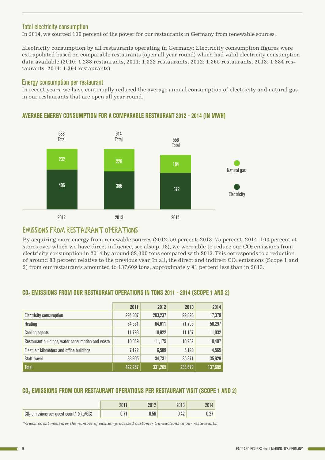## Total electricity consumption

In 2014, we sourced 100 percent of the power for our restaurants in Germany from renewable sources.

Electricity consumption by all restaurants operating in Germany: Electricity consumption figures were extrapolated based on comparable restaurants (open all year round) which had valid electricity consumption data available (2010: 1,288 restaurants, 2011: 1,322 restaurants; 2012: 1,365 restaurants; 2013: 1,384 restaurants; 2014: 1,394 restaurants).

#### Energy consumption per restaurant

In recent years, we have continually reduced the average annual consumption of electricity and natural gas in our restaurants that are open all year round.



## AVERAGE ENERGY CONSUMPTION FOR A COMPARABLE RESTAURANT 2012 - 2014 (IN MWH)

## EMISSIONS FROM RESTAURANT OPERATIONS

By acquiring more energy from renewable sources (2012: 50 percent; 2013: 75 percent; 2014: 100 percent at stores over which we have direct influence, see also  $p. 18$ ), we were able to reduce our  $CO<sub>2</sub>$  emissions from electricity consumption in 2014 by around 82,000 tons compared with 2013. This corresponds to a reduction of around 83 percent relative to the previous year. In all, the direct and indirect CO<sub>2</sub> emissions (Scope 1 and 2) from our restaurants amounted to 137,609 tons, approximately 41 percent less than in 2013.

|                                                   | 2011    | 2012    | 2013    | 2014    |
|---------------------------------------------------|---------|---------|---------|---------|
| Electricity consumption                           | 294,807 | 203,237 | 99,896  | 17,379  |
| Heating                                           | 64,581  | 64,611  | 71,795  | 58,297  |
| <b>Cooling agents</b>                             | 11,793  | 10,922  | 11,157  | 11,032  |
| Restaurant buildings, water consumption and waste | 10,049  | 11,175  | 10,262  | 10,407  |
| Fleet, air kilometers and office buildings        | 7,122   | 6,589   | 5,198   | 4,565   |
| Staff travel                                      | 33,905  | 34,731  | 35,371  | 35,929  |
| <b>Total</b>                                      | 422,257 | 331,265 | 233,679 | 137,609 |

## CO2 EMISSIONS FROM OUR RESTAURANT OPERATIONS IN TONS 2011 - 2014 (SCOPE 1 AND 2)

## CO² EMISSIONS FROM OUR RESTAURANT OPERATIONS PER RESTAURANT VISIT (SCOPE 1 AND 2)

| $CO2$ emissions per guest count* ((kg/GC) | J.56 | 0.42 |  |
|-------------------------------------------|------|------|--|

*\*Guest count measures the number of cashier-processed customer transactions in our restaurants.*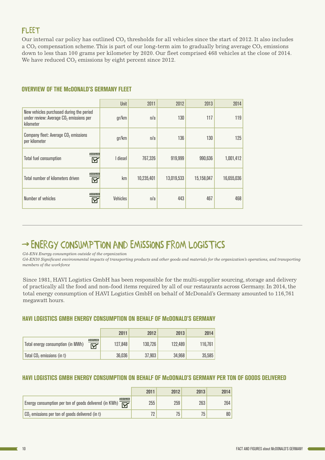## **FLEET**

Our internal car policy has outlined  $CO<sub>2</sub>$  thresholds for all vehicles since the start of 2012. It also includes a  $CO<sub>2</sub>$  compensation scheme. This is part of our long-term aim to gradually bring average  $CO<sub>2</sub>$  emissions down to less than 100 grams per kilometer by 2020. Our fleet comprised 468 vehicles at the close of 2014. We have reduced  $CO<sub>2</sub>$  emissions by eight percent since 2012.

### **OVERVIEW OF THE MCDONALD'S GERMANY FLEET**

|                                                                                                    | Unit     | 2011       | 2012       | 2013       | 2014       |
|----------------------------------------------------------------------------------------------------|----------|------------|------------|------------|------------|
| New vehicles purchased during the period<br>under review: Average $CO2$ emissions per<br>kilometer | gr/km    | n/a        | 130        | 117        | 119        |
| Company fleet: Average CO <sub>2</sub> emissions<br>per kilometer                                  | gr/km    | n/a        | 136        | 130        | 125        |
| <b>ASSURED</b><br><b>Total fuel consumption</b><br>M                                               | I diesel | 767,326    | 919,999    | 990,636    | 1,001,412  |
| <b>ASSURED</b><br>Total number of kilometers driven<br>$\boxtimes$                                 | km       | 10,235,401 | 13,019,533 | 15,158,047 | 16,655,036 |
| <b>ASSURED</b><br>Number of vehicles<br>И                                                          | Vehicles | n/a        | 443        | 467        | 468        |

# → ENERGY CONSUMPTION AND EMISSIONS FROM LOGISTICS

*G4-EN4 Energy consumption outside of the organization*

*G4-EN30 Significant environmental impacts of transporting products and other goods and materials for the organization's operations, and transporting members of the workforce*

Since 1981, HAVI Logistics GmbH has been responsible for the multi-supplier sourcing, storage and delivery of practically all the food and non-food items required by all of our restaurants across Germany. In 2014, the total energy consumption of HAVI Logistics GmbH on behalf of McDonald's Germany amounted to 116,761 megawatt hours.

### HAVI LOGISTICS GMBH ENERGY CONSUMPTION ON BEHALF OF McDONALD'S GERMANY

|                                        |                     | 2011    | 2012    | 2013    | 2014    |
|----------------------------------------|---------------------|---------|---------|---------|---------|
| Total energy consumption (in MWh)      | <b>ASSURED</b><br>⋉ | 127.848 | 130,726 | 122,489 | 116,761 |
| Total CO <sub>2</sub> emissions (in t) |                     | 36,036  | 37,903  | 34.968  | 35,585  |

## HAVI LOGISTICS GMBH ENERGY CONSUMPTION ON BEHALF OF McDONALD'S GERMANY PER TON OF GOODS DELIVERED

|                                                                                          | 2011 | 2012 | 2013 | 2014 |
|------------------------------------------------------------------------------------------|------|------|------|------|
| ASSURED<br>$\overline{\nabla}$<br>Energy consumption per ton of goods delivered (in KWh) | 255  | 259  | 263  | 264  |
| $\log_2$ emissions per ton of goods delivered (in t)                                     |      |      |      | 80   |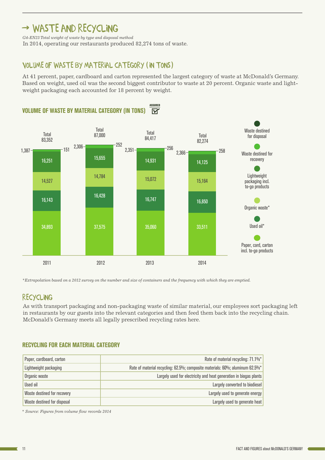## → WASTE AND RECYCLING

*G4-EN23 Total weight of waste by type and disposal method*

In 2014, operating our restaurants produced 82,274 tons of waste.

## VOLUME OF WASTE BY MATERIAL CATEGORY (IN TONS)

Based on weight, used oil was the second biggest contributor to waste at 20 percent. Organic waste and light-At 41 percent, paper, cardboard and carton represented the largest category of waste at McDonald's Germany. weight packaging each accounted for 18 percent by weight.



*\*Extrapolation based on a 2012 survey on the number and size of containers and the frequency with which they are emptied.*

## RECYCLING

As with transport packaging and non-packaging waste of similar material, our employees sort packaging left in restaurants by our guests into the relevant categories and then feed them back into the recycling chain. McDonald's Germany meets all legally prescribed recycling rates here.

### RECYCLING FOR EACH MATERIAL CATEGORY

| Paper, cardboard, carton    | Rate of material recycling: 71.1%*                                           |
|-----------------------------|------------------------------------------------------------------------------|
| Lightweight packaging       | Rate of material recycling: 62.5%; composite materials: 60%; aluminum 62.5%* |
| Organic waste               | Largely used for electricity and heat generation in biogas plants            |
| Used oil                    | Largely converted to biodiesel                                               |
| Waste destined for recovery | Largely used to generate energy                                              |
| Waste destined for disposal | Largely used to generate heat                                                |

*\* Source: Figures from volume flow records 2014*

7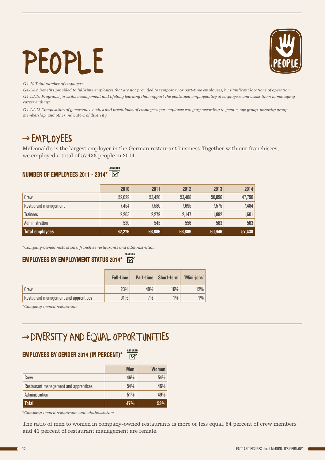# PEOPLE



*G4-10 Total number of employees*

*G4-LA2 Benefits provided to full-time employees that are not provided to temporary or part-time employees, by significant locations of operation G4-LA10 Programs for skills management and lifelong learning that support the continued employability of employees and assist them in managing career endings*

*G4-LA12 Composition of governance bodies and breakdown of employees per employee category according to gender, age group, minority group membership, and other indicators of diversity*

## $\rightarrow$  EMPLOYEES

McDonald's is the largest employer in the German restaurant business. Together with our franchisees, we employed a total of 57,438 people in 2014.

#### ASSURED NUMBER OF EMPLOYEES 2011 - 2014\*

|                       | 2010   | 2011   | 2012   | 2013   | 2014        |
|-----------------------|--------|--------|--------|--------|-------------|
| Crew                  | 52,029 | 53,420 | 53,488 | 50,896 | 47,790      |
| Restaurant management | 7,454  | 7,580  | 7,695  | 7,575  | 7,484       |
| <b>Trainees</b>       | 2,263  | 2,279  | 2,147  | 1,892  | $1,601$ $ $ |
| Administration        | 530    | 545    | 556    | 583    | 563         |
| Total employees       | 62,276 | 63,886 | 63,889 | 60,946 | 57,438      |

*\*Company-owned restaurants, franchise restaurants and administration*

#### ASSURED EMPLOYEES BY EMPLOYMENT STATUS 2014\*  $\overline{\mathsf{w}}$

|                                       | <b>Full-time</b> | Part-time | <b>Short-term</b> | 'Mini-jobs' |
|---------------------------------------|------------------|-----------|-------------------|-------------|
| Crew                                  | 23%              | 49%       | 16%               | 12%         |
| Restaurant management and apprentices | 91%              | 7%        | $1\%$             | $1\%$       |

*\*Company-owned restaurants*

# DIVERSITY AND EQUAL OPPORTU<mark>NITIES</mark>

## **EMPLOYEES BY GENDER 2014 (IN PERCENT)\***  $\frac{assu$ red

|                                       | <b>Men</b> | <b>Women</b> |
|---------------------------------------|------------|--------------|
| Crew                                  | 46%        | 54%          |
| Restaurant management and apprentices | 54%        | 46%          |
| Administration                        | 51%        | 49%          |
| <b>Total</b>                          | 47%        | 53%          |

*\*Company-owned restaurants and administration*

The ratio of men to women in company-owned restaurants is more or less equal. 54 percent of crew members and 41 percent of restaurant management are female.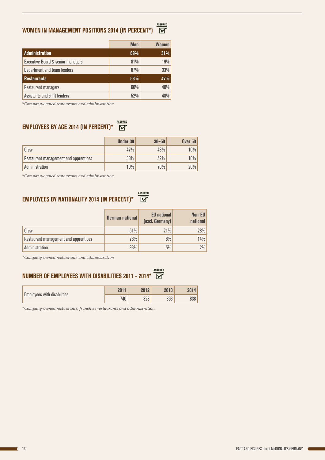#### ASSURED<br>M WOMEN IN MANAGEMENT POSITIONS 2014 (IN PERCENT\*)

|                                              | <b>Men</b> | <b>Women</b> |
|----------------------------------------------|------------|--------------|
| <b>Administration</b>                        | 69%        | 31%          |
| <b>Executive Board &amp; senior managers</b> | 81%        | 19%          |
| Department and team leaders                  | 67%        | 33%          |
| <b>Restaurants</b>                           | 53%        | 47%          |
| Restaurant managers                          | 60%        | 40%          |
| Assistants and shift leaders                 | 52%        |              |

*\*Company-owned restaurants and administration*

## **EMPLOYEES BY AGE 2014 (IN PERCENT)\***  $\frac{MSSURED}{\blacktriangledown}$

|                                       | <b>Under 30</b> | $30 - 50$ | <b>Over 50</b> |
|---------------------------------------|-----------------|-----------|----------------|
| Crew                                  | 47%             | 43%       | 10%            |
| Restaurant management and apprentices | 38%             | 52%       | 10%            |
| Administration                        | $10\%$          | 70%       | 20%            |

*\*Company-owned restaurants and administration*

## **EMPLOYEES BY NATIONALITY 2014 (IN PERCENT)\***  $\overleftrightarrow{\mathbf{W}}$

|                                       | <b>German national</b> | <b>EU</b> national<br>(excl. Germany) | Non-EU<br>national |
|---------------------------------------|------------------------|---------------------------------------|--------------------|
| Crew                                  | 51%                    | 21%                                   | 28%                |
| Restaurant management and apprentices | 78%                    | 8%                                    | 14%                |
| Administration                        | 93%                    | 5%                                    | $2\%$              |

*\*Company-owned restaurants and administration*

## NUMBER OF EMPLOYEES WITH DISABILITIES 2011 - 2014\*  $\overline{\mathbb{Y}}$

| <b>Employees with disabilities</b> | 2011 | ንበ19 | 2013 | 2014 |
|------------------------------------|------|------|------|------|
|                                    | 740  | 000  | 863  | 838  |

*\*Company-owned restaurants, franchise restaurants and administration*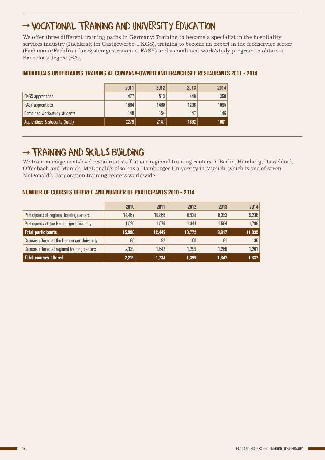# VOCATIONAL TRAINING AND UNIVERSITY EDUCATION

We offer three different training paths in Germany: Training to become a specialist in the hospitality services industry (Fachkraft im Gastgewerbe, FKGS), training to become an expert in the foodservice sector (Fachmann/Fachfrau für Systemgastronomie, FASY) and a combined work/study program to obtain a Bachelor's degree (BA).

|                                | 2011 | 2012 | 2013 | 2014 |
|--------------------------------|------|------|------|------|
| <b>FKGS</b> apprentices        | 477  | 513  | 449  | 360  |
| <b>FASY</b> apprentices        | 1684 | 1480 | 1296 | 1095 |
| Combined work/study students   | 148  | 154  | 147  | 146  |
| Apprentices & students (total) | 2279 | 2147 | 1892 | 1601 |

## INDIVIDUALS UNDERTAKING TRAINING AT COMPANY-OWNED AND FRANCHISEE RESTAURANTS 2011 - 2014

## → TRAINING AND SKILLS BUILDING

We train management-level restaurant staff at our regional training centers in Berlin, Hamburg, Dusseldorf, Offenbach and Munich. McDonald's also has a Hamburger University in Munich, which is one of seven McDonald's Corporation training centers worldwide.

### NUMBER OF COURSES OFFERED AND NUMBER OF PARTICIPANTS 2010 - 2014

|                                                    | 2010   | 2011   | 2012   | 2013  | 2014   |
|----------------------------------------------------|--------|--------|--------|-------|--------|
| Participants at regional training centers          | 14,467 | 10,866 | 8,928  | 8,353 | 9,236  |
| Participants at the Hamburger University           | 1,529  | 1,579  | 1,844  | 1,564 | 1,796  |
| Total participants                                 | 15,996 | 12.445 | 10,772 | 9,917 | 11,032 |
| <b>Courses offered at the Hamburger University</b> | 80     | 92     | 100    | 81    | 136    |
| Courses offered at regional training centers       | 2,139  | 1,642  | 1,299  | 1,266 | 1,201  |
| Total courses offered                              | 2,219  | 1,734  | 1,399  | 1,347 | 1,337  |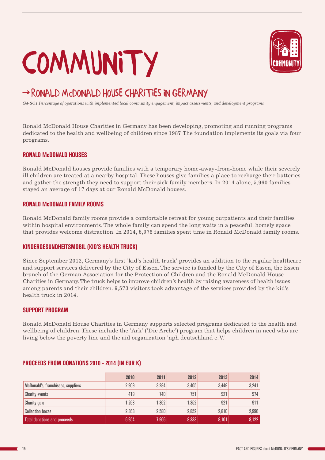# **COMMUNITY**



# RONALD MCDONALD HOUSE CHARITIES IN GERMANY

*G4-SO1 Percentage of operations with implemented local community engagement, impact assessments, and development programs*

Ronald McDonald House Charities in Germany has been developing, promoting and running programs dedicated to the health and wellbeing of children since 1987. The foundation implements its goals via four programs.

#### RONALD McDONALD HOUSES

Ronald McDonald houses provide families with a temporary home-away-from-home while their severely ill children are treated at a nearby hospital. These houses give families a place to recharge their batteries and gather the strength they need to support their sick family members. In 2014 alone, 5,960 families stayed an average of 17 days at our Ronald McDonald houses.

#### RONALD McDONALD FAMILY ROOMS

Ronald McDonald family rooms provide a comfortable retreat for young outpatients and their families within hospital environments. The whole family can spend the long waits in a peaceful, homely space that provides welcome distraction. In 2014, 6,976 families spent time in Ronald McDonald family rooms.

#### KINDERGESUNDHEITSMOBIL (KID'S HEALTH TRUCK)

Since September 2012, Germany's first 'kid's health truck' provides an addition to the regular healthcare and support services delivered by the City of Essen. The service is funded by the City of Essen, the Essen branch of the German Association for the Protection of Children and the Ronald McDonald House Charities in Germany. The truck helps to improve children's health by raising awareness of health issues among parents and their children. 9,573 visitors took advantage of the services provided by the kid's health truck in 2014.

#### SUPPORT PROGRAM

Ronald McDonald House Charities in Germany supports selected programs dedicated to the health and wellbeing of children. These include the 'Ark' ('Die Arche') program that helps children in need who are living below the poverty line and the aid organization 'nph deutschland e. V.'

|                                     | 2010  | 2011  | 2012  | 2013  | 2014  |
|-------------------------------------|-------|-------|-------|-------|-------|
| McDonald's, franchisees, suppliers  | 2,909 | 3,284 | 3,405 | 3,449 | 3,241 |
| <b>Charity events</b>               | 419'  | 740   | 751   | 921   | 974   |
| Charity gala                        | 1,263 | ,362  | 1,352 | 921   | 911   |
| <b>Collection boxes</b>             | 2,363 | 2,580 | 2,852 | 2,810 | 2,996 |
| <b>Total donations and proceeds</b> | 6,954 | 7,966 | 8,333 | 8,101 | 8,122 |

#### PROCEEDS FROM DONATIONS 2010 - 2014 (IN EUR K)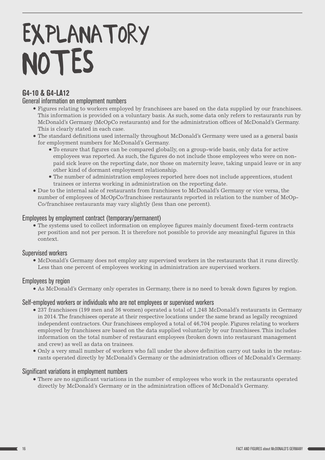# EXPLANATORY **NOTES**

## G4-10 & G4-LA12

## General information on employment numbers

- Figures relating to workers employed by franchisees are based on the data supplied by our franchisees. This information is provided on a voluntary basis. As such, some data only refers to restaurants run by McDonald's Germany (McOpCo restaurants) and for the administration offices of McDonald's Germany. This is clearly stated in each case.
- The standard definitions used internally throughout McDonald's Germany were used as a general basis for employment numbers for McDonald's Germany.
	- To ensure that figures can be compared globally, on a group-wide basis, only data for active employees was reported. As such, the figures do not include those employees who were on nonpaid sick leave on the reporting date, nor those on maternity leave, taking unpaid leave or in any other kind of dormant employment relationship.
	- The number of administration employees reported here does not include apprentices, student trainees or interns working in administration on the reporting date.
- Due to the internal sale of restaurants from franchisees to McDonald's Germany or vice versa, the number of employees of McOpCo/franchisee restaurants reported in relation to the number of McOp-Co/franchisee restaurants may vary slightly (less than one percent).

## Employees by employment contract (temporary/permanent)

The systems used to collect information on employee figures mainly document fixed-term contracts per position and not per person. It is therefore not possible to provide any meaningful figures in this context.

## Supervised workers

McDonald's Germany does not employ any supervised workers in the restaurants that it runs directly. Less than one percent of employees working in administration are supervised workers.

## Employees by region

As McDonald's Germany only operates in Germany, there is no need to break down figures by region.

## Self-employed workers or individuals who are not employees or supervised workers

- 237 franchisees (199 men and 36 women) operated a total of 1,248 McDonald's restaurants in Germany in 2014. The franchisees operate at their respective locations under the same brand as legally recognized independent contractors. Our franchisees employed a total of 46,704 people. Figures relating to workers employed by franchisees are based on the data supplied voluntarily by our franchisees. This includes information on the total number of restaurant employees (broken down into restaurant management and crew) as well as data on trainees.
- Only a very small number of workers who fall under the above definition carry out tasks in the restaurants operated directly by McDonald's Germany or the administration offices of McDonald's Germany.

## Significant variations in employment numbers

There are no significant variations in the number of employees who work in the restaurants operated directly by McDonald's Germany or in the administration offices of McDonald's Germany.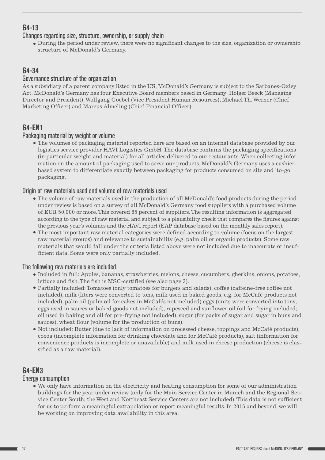## G4-13

Changes regarding size, structure, ownership, or supply chain

During the period under review, there were no significant changes to the size, organization or ownership structure of McDonald's Germany.

## G4-34

## Governance structure of the organization

As a subsidiary of a parent company listed in the US, McDonald's Germany is subject to the Sarbanes-Oxley Act. McDonald's Germany has four Executive Board members based in Germany: Holger Beeck (Managing Director and President), Wolfgang Goebel (Vice President Human Resources), Michael Th. Werner (Chief Marketing Officer) and Marcus Almeling (Chief Financial Officer).

## G4-EN1

## Packaging material by weight or volume

The volumes of packaging material reported here are based on an internal database provided by our logistics service provider HAVI Logistics GmbH. The database contains the packaging specifications (in particular weight and material) for all articles delivered to our restaurants. When collecting information on the amount of packaging used to serve our products, McDonald's Germany uses a cashierbased system to differentiate exactly between packaging for products consumed on site and 'to-go' packaging.

## Origin of raw materials used and volume of raw materials used

- The volume of raw materials used in the production of all McDonald's food products during the period under review is based on a survey of all McDonald's Germany food suppliers with a purchased volume of EUR 50,000 or more. This covered 85 percent of suppliers. The resulting information is aggregated according to the type of raw material and subject to a plausibility check that compares the figures against the previous year's volumes and the HAVI report (EAP database based on the monthly sales report).
- The most important raw material categories were defined according to volume (focus on the largest raw material groups) and relevance to sustainability (e.g. palm oil or organic products). Some raw materials that would fall under the criteria listed above were not included due to inaccurate or insufficient data. Some were only partially included.

## The following raw materials are included:

- Included in full: Apples, bananas, strawberries, melons, cheese, cucumbers, gherkins, onions, potatoes, lettuce and fish. The fish is MSC-certified (see also page 3).
- Partially included: Tomatoes (only tomatoes for burgers and salads), coffee (caffeine-free coffee not included), milk (liters were converted to tons, milk used in baked goods, e.g. for McCafé products not included), palm oil (palm oil for cakes in McCafés not included) eggs (units were converted into tons; eggs used in sauces or baked goods not included), rapeseed and sunflower oil (oil for frying included; oil used in baking and oil for pre-frying not included), sugar (for packs of sugar and sugar in buns and sauces), wheat flour (volume for the production of buns).
- Not included: Butter (due to lack of information on processed cheese, toppings and McCafé products), cocoa (incomplete information for drinking chocolate and for McCafé products), salt (information for convenience products is incomplete or unavailable) and milk used in cheese production (cheese is classified as a raw material).

## G4-EN3

## Energy consumption

We only have information on the electricity and heating consumption for some of our administration buildings for the year under review (only for the Main Service Center in Munich and the Regional Service Center South; the West and Northeast Service Centers are not included). This data is not sufficient for us to perform a meaningful extrapolation or report meaningful results. In 2015 and beyond, we will be working on improving data availability in this area.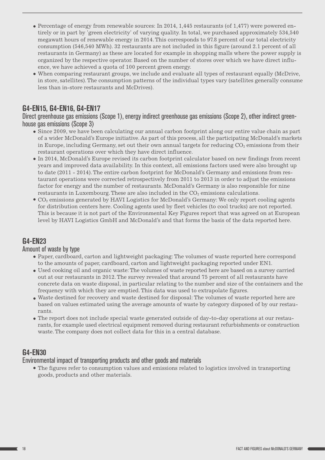- $\bullet$  Percentage of energy from renewable sources: In 2014, 1,445 restaurants (of 1,477) were powered entirely or in part by 'green electricity' of varying quality. In total, we purchased approximately 534,540 megawatt hours of renewable energy in 2014. This corresponds to 97.8 percent of our total electricity consumption (546,540 MWh). 32 restaurants are not included in this figure (around 2.1 percent of all restaurants in Germany) as these are located for example in shopping malls where the power supply is organized by the respective operator. Based on the number of stores over which we have direct influence, we have achieved a quota of 100 percent green energy.
- When comparing restaurant groups, we include and evaluate all types of restaurant equally (McDrive, in store, satellites). The consumption patterns of the individual types vary (satellites generally consume less than in-store restaurants and McDrives).

## G4-EN15, G4-EN16, G4-EN17

Direct greenhouse gas emissions (Scope 1), energy indirect greenhouse gas emissions (Scope 2), other indirect greenhouse gas emissions (Scope 3)

- Since 2009, we have been calculating our annual carbon footprint along our entire value chain as part of a wider McDonald's Europe initiative. As part of this process, all the participating McDonald's markets in Europe, including Germany, set out their own annual targets for reducing  $CO<sub>2</sub>$  emissions from their restaurant operations over which they have direct influence.
- In 2014, McDonald's Europe revised its carbon footprint calculator based on new findings from recent years and improved data availability. In this context, all emissions factors used were also brought up to date (2011 - 2014). The entire carbon footprint for McDonald's Germany and emissions from restaurant operations were corrected retrospectively from 2011 to 2013 in order to adjust the emissions factor for energy and the number of restaurants. McDonald's Germany is also responsible for nine restaurants in Luxembourg. These are also included in the  $CO<sub>2</sub>$  emissions calculations.
- $\bullet$  CO<sub>2</sub> emissions generated by HAVI Logistics for McDonald's Germany: We only report cooling agents for distribution centers here. Cooling agents used by fleet vehicles (to cool trucks) are not reported. This is because it is not part of the Environmental Key Figures report that was agreed on at European level by HAVI Logistics GmbH and McDonald's and that forms the basis of the data reported here.

## G4-EN23

### Amount of waste by type

- Paper, cardboard, carton and lightweight packaging: The volumes of waste reported here correspond to the amounts of paper, cardboard, carton and lightweight packaging reported under EN1.
- Used cooking oil and organic waste: The volumes of waste reported here are based on a survey carried out at our restaurants in 2012. The survey revealed that around 75 percent of all restaurants have concrete data on waste disposal, in particular relating to the number and size of the containers and the frequency with which they are emptied. This data was used to extrapolate figures.
- Waste destined for recovery and waste destined for disposal: The volumes of waste reported here are based on values estimated using the average amounts of waste by category disposed of by our restaurants.
- The report does not include special waste generated outside of day-to-day operations at our restaurants, for example used electrical equipment removed during restaurant refurbishments or construction waste. The company does not collect data for this in a central database.

## G4-EN30

Environmental impact of transporting products and other goods and materials

The figures refer to consumption values and emissions related to logistics involved in transporting goods, products and other materials.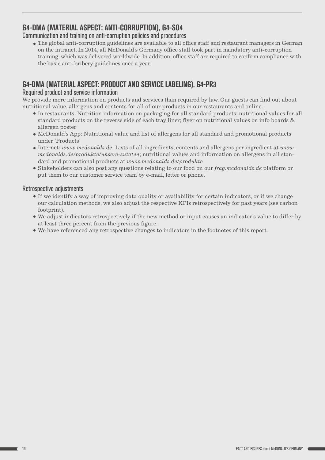## G4-DMA (MATERIAL ASPECT: ANTI-CORRUPTION), G4-SO4

Communication and training on anti-corruption policies and procedures

The global anti-corruption guidelines are available to all office staff and restaurant managers in German on the intranet. In 2014, all McDonald's Germany office staff took part in mandatory anti-corruption training, which was delivered worldwide. In addition, office staff are required to confirm compliance with the basic anti-bribery guidelines once a year.

## G4-DMA (MATERIAL ASPECT: PRODUCT AND SERVICE LABELING), G4-PR3

## Required product and service information

We provide more information on products and services than required by law. Our guests can find out about nutritional value, allergens and contents for all of our products in our restaurants and online.

- In restaurants: Nutrition information on packaging for all standard products; nutritional values for all standard products on the reverse side of each tray liner; flyer on nutritional values on info boards & allergen poster
- McDonald's App: Nutritional value and list of allergens for all standard and promotional products under 'Products'
- Internet: *[www.mcdonalds.de](http://www.mcdonalds.de)*: Lists of all ingredients, contents and allergens per ingredient at *[www.](http://www.mcdonalds.de/produkte/unsere-zutaten) [mcdonalds.de/produkte/unsere-zutaten](http://www.mcdonalds.de/produkte/unsere-zutaten)*; nutritional values and information on allergens in all standard and promotional products at *[www.mcdonalds.de/produkte](http://www.mcdonalds.de/produkte)*
- Stakeholders can also post any questions relating to our food on our *<frag.mcdonalds.de>* platform or put them to our customer service team by e-mail, letter or phone.

## Retrospective adjustments

- If we identify a way of improving data quality or availability for certain indicators, or if we change our calculation methods, we also adjust the respective KPIs retrospectively for past years (see carbon footprint).
- We adjust indicators retrospectively if the new method or input causes an indicator's value to differ by at least three percent from the previous figure.
- We have referenced any retrospective changes to indicators in the footnotes of this report.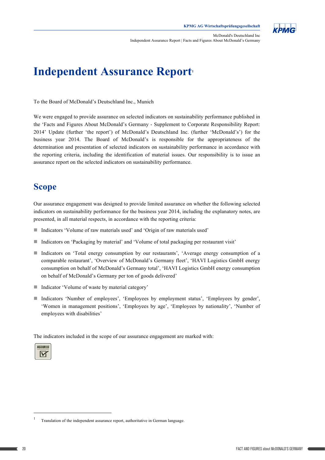

McDonald's Deutschland Inc Independent Assurance Report | Facts and Figures About McDonald's Germany

# **Independent Assurance Report**

To the Board of McDonald's Deutschland Inc., Munich

We were engaged to provide assurance on selected indicators on sustainability performance published in the 'Facts and Figures About McDonald's Germany - Supplement to Corporate Responsibility Report: 2014' Update (further 'the report') of McDonald's Deutschland Inc. (further 'McDonald's') for the business year 2014. The Board of McDonald's is responsible for the appropriateness of the determination and presentation of selected indicators on sustainability performance in accordance with the reporting criteria, including the identification of material issues. Our responsibility is to issue an assurance report on the selected indicators on sustainability performance.

## **Scope**

Our assurance engagement was designed to provide limited assurance on whether the following selected indicators on sustainability performance for the business year 2014, including the explanatory notes, are presented, in all material respects, in accordance with the reporting criteria:

- Indicators 'Volume of raw materials used' and 'Origin of raw materials used'
- Indicators on 'Packaging by material' and 'Volume of total packaging per restaurant visit'
- Indicators on 'Total energy consumption by our restaurants', 'Average energy consumption of a comparable restaurant', 'Overview of McDonald's Germany fleet', 'HAVI Logistics GmbH energy consumption on behalf of McDonald's Germany total', 'HAVI Logistics GmbH energy consumption on behalf of McDonald's Germany per ton of goods delivered'
- $\blacksquare$  Indicator 'Volume of waste by material category'
- Indicators 'Number of employees', 'Employees by employment status', 'Employees by gender', 'Women in management positions', 'Employees by age', 'Employees by nationality', 'Number of employees with disabilities'

The indicators included in the scope of our assurance engagement are marked with:



 $\overline{\phantom{a}}$ 

-

<sup>1</sup> Translation of the independent assurance report, authoritative in German language.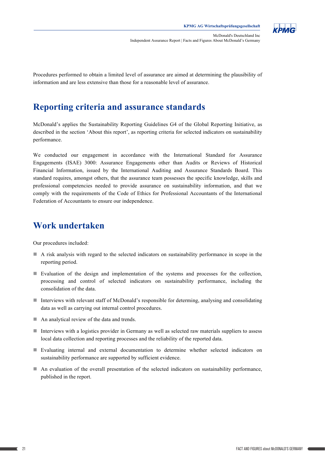

McDonald's Deutschland Inc Independent Assurance Report | Facts and Figures About McDonald's Germany

Procedures performed to obtain a limited level of assurance are aimed at determining the plausibility of information and are less extensive than those for a reasonable level of assurance.

# **Reporting criteria and assurance standards**

McDonald's applies the Sustainability Reporting Guidelines G4 of the Global Reporting Initiative, as described in the section 'About this report', as reporting criteria for selected indicators on sustainability business year 2014. The Board of McDonald's is responsible for the appropriateness of the appropriateness of the appropriateness of the appropriateness of the appropriateness of the appropriateness of the appropriate in th

We conducted our engagement in accordance with the International Standard for Assurance Engagements (ISAE) 3000: Assurance Engagements other than Audits or Reviews of Historical professional competencies needed to provide assurance on sustainability information, and that we Federation of Accountants to ensure our independence. Financial Information, issued by the International Auditing and Assurance Standards Board. This standard requires, amongst others, that the assurance team possesses the specific knowledge, skills and comply with the requirements of the Code of Ethics for Professional Accountants of the International

#### n Unit and 'Volume of raw materials used' and 'Origin of raw materials used' and 'Origin of raw materials used **Work undertaken**

Our procedures included:  $\overline{O}(1)$ 

- A risk analysis with regard to the selected indicators on sustainability performance in scope in the reporting period.
- **Evaluation** of the design and implementation of the systems and processes for the collection, consolidation of the data. processing and control of selected indicators on sustainability performance, including the
- Interviews with relevant staff of McDonald's responsible for determing, analysing and consolidating data as well as carrying out internal control procedures.
- $\blacksquare$  An analytical review of the data and trends.
- local data collection and reporting processes and the reliability of the reported data.  $\blacksquare$  Interviews with a logistics provider in Germany as well as selected raw materials suppliers to assess
- n Evaluating internal and external documentation to determine whether selected indicators on sustainability performance are supported by sufficient evidence.
- $\blacksquare$  An evaluation of the overall presentation of the selected indicators on sustainability performance, published in the report.